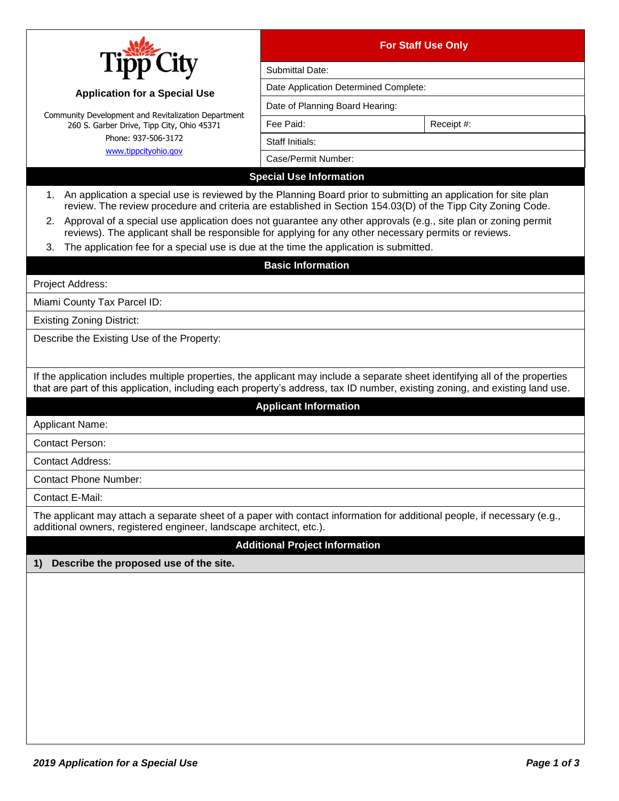| <b>Application for a Special Use</b><br>Community Development and Revitalization Department<br>260 S. Garber Drive, Tipp City, Ohio 45371<br>Phone: 937-506-3172<br>www.tippcityohio.gov                                                                      | <b>For Staff Use Only</b>             |  |
|---------------------------------------------------------------------------------------------------------------------------------------------------------------------------------------------------------------------------------------------------------------|---------------------------------------|--|
|                                                                                                                                                                                                                                                               | Submittal Date:                       |  |
|                                                                                                                                                                                                                                                               | Date Application Determined Complete: |  |
|                                                                                                                                                                                                                                                               | Date of Planning Board Hearing:       |  |
|                                                                                                                                                                                                                                                               | Fee Paid:<br>Receipt #:               |  |
|                                                                                                                                                                                                                                                               | Staff Initials:                       |  |
|                                                                                                                                                                                                                                                               | Case/Permit Number:                   |  |
|                                                                                                                                                                                                                                                               | <b>Special Use Information</b>        |  |
| An application a special use is reviewed by the Planning Board prior to submitting an application for site plan<br>1.<br>review. The review procedure and criteria are established in Section 154.03(D) of the Tipp City Zoning Code.                         |                                       |  |
| 2. Approval of a special use application does not guarantee any other approvals (e.g., site plan or zoning permit<br>reviews). The applicant shall be responsible for applying for any other necessary permits or reviews.                                    |                                       |  |
| The application fee for a special use is due at the time the application is submitted.<br>3.                                                                                                                                                                  |                                       |  |
|                                                                                                                                                                                                                                                               | <b>Basic Information</b>              |  |
| Project Address:                                                                                                                                                                                                                                              |                                       |  |
| Miami County Tax Parcel ID:                                                                                                                                                                                                                                   |                                       |  |
| <b>Existing Zoning District:</b>                                                                                                                                                                                                                              |                                       |  |
| Describe the Existing Use of the Property:                                                                                                                                                                                                                    |                                       |  |
| If the application includes multiple properties, the applicant may include a separate sheet identifying all of the properties<br>that are part of this application, including each property's address, tax ID number, existing zoning, and existing land use. |                                       |  |
|                                                                                                                                                                                                                                                               | <b>Applicant Information</b>          |  |
| <b>Applicant Name:</b>                                                                                                                                                                                                                                        |                                       |  |
| <b>Contact Person:</b>                                                                                                                                                                                                                                        |                                       |  |
| <b>Contact Address:</b>                                                                                                                                                                                                                                       |                                       |  |
| <b>Contact Phone Number:</b>                                                                                                                                                                                                                                  |                                       |  |
| <b>Contact E-Mail:</b>                                                                                                                                                                                                                                        |                                       |  |
| The applicant may attach a separate sheet of a paper with contact information for additional people, if necessary (e.g.,<br>additional owners, registered engineer, landscape architect, etc.).                                                               |                                       |  |
|                                                                                                                                                                                                                                                               | <b>Additional Project Information</b> |  |
| Describe the proposed use of the site.                                                                                                                                                                                                                        |                                       |  |
|                                                                                                                                                                                                                                                               |                                       |  |
|                                                                                                                                                                                                                                                               |                                       |  |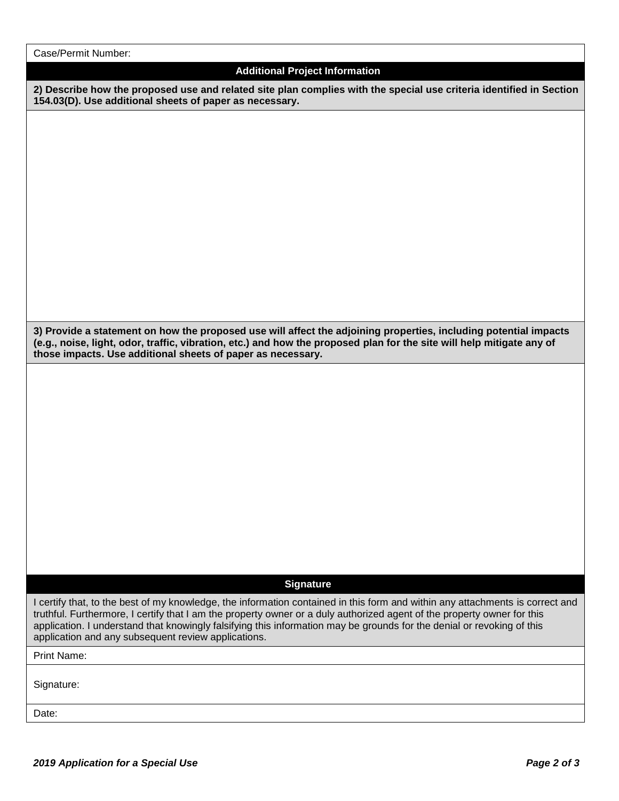| Case/Permit Number: |  |
|---------------------|--|
|---------------------|--|

## **Additional Project Information**

**2) Describe how the proposed use and related site plan complies with the special use criteria identified in Section 154.03(D). Use additional sheets of paper as necessary.**

**3) Provide a statement on how the proposed use will affect the adjoining properties, including potential impacts (e.g., noise, light, odor, traffic, vibration, etc.) and how the proposed plan for the site will help mitigate any of those impacts. Use additional sheets of paper as necessary.**

## **Signature**

I certify that, to the best of my knowledge, the information contained in this form and within any attachments is correct and truthful. Furthermore, I certify that I am the property owner or a duly authorized agent of the property owner for this application. I understand that knowingly falsifying this information may be grounds for the denial or revoking of this application and any subsequent review applications.

Print Name:

Signature:

Date: